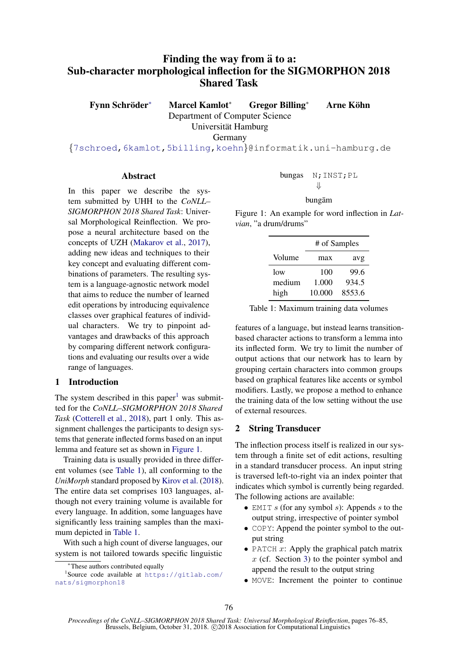# Finding the way from  $\ddot{a}$  to a: Sub-character morphological inflection for the SIGMORPHON 2018 Shared Task

Fynn Schröder\* <sup>∗</sup> Marcel Kamlot<sup>∗</sup> Gregor Billing<sup>∗</sup> Arne Kohn ¨

Universität Hamburg

Germany

Department of Computer Science

{7schroed,6kamlot,5billing,koehn}@informatik.uni-hamburg.de

# Abstract

In this paper we describe the system submitted by UHH to the *CoNLL– SIGMORPHON 2018 Shared Task*: Universal Morphological Reinflection. We propose a neural architecture based on the concepts of UZH (Makarov et al., 2017), adding new ideas and techniques to their key concept and evaluating different combinations of parameters. The resulting system is a language-agnostic network model that aims to reduce the number of learned edit operations by introducing equivalence classes over graphical features of individual characters. We try to pinpoint advantages and drawbacks of this approach by comparing different network configurations and evaluating our results over a wide range of languages.

# 1 Introduction

The system described in this paper<sup>1</sup> was submitted for the *CoNLL–SIGMORPHON 2018 Shared Task* (Cotterell et al., 2018), part 1 only. This assignment challenges the participants to design systems that generate inflected forms based on an input lemma and feature set as shown in Figure 1.

Training data is usually provided in three different volumes (see Table 1), all conforming to the *UniMorph* standard proposed by Kirov et al. (2018). The entire data set comprises 103 languages, although not every training volume is available for every language. In addition, some languages have significantly less training samples than the maximum depicted in Table 1.

With such a high count of diverse languages, our system is not tailored towards specific linguistic

$$
\begin{array}{ll}\text{bungas} & \text{N; INST; PL} \\ & \Downarrow \end{array}
$$

# bungam¯

Figure 1: An example for word inflection in *Latvian*, "a drum/drums"

|        | # of Samples |        |  |
|--------|--------------|--------|--|
| Volume | max          | avg    |  |
| low    | 100          | 99.6   |  |
| medium | 1.000        | 934.5  |  |
| high   | 10.000       | 8553.6 |  |

Table 1: Maximum training data volumes

features of a language, but instead learns transitionbased character actions to transform a lemma into its inflected form. We try to limit the number of output actions that our network has to learn by grouping certain characters into common groups based on graphical features like accents or symbol modifiers. Lastly, we propose a method to enhance the training data of the low setting without the use of external resources.

# 2 String Transducer

The inflection process itself is realized in our system through a finite set of edit actions, resulting in a standard transducer process. An input string is traversed left-to-right via an index pointer that indicates which symbol is currently being regarded. The following actions are available:

- EMIT s (for any symbol s): Appends s to the output string, irrespective of pointer symbol
- COPY: Append the pointer symbol to the output string
- PATCH  $x$ : Apply the graphical patch matrix  $x$  (cf. Section 3) to the pointer symbol and append the result to the output string
- MOVE: Increment the pointer to continue

<sup>∗</sup>These authors contributed equally

<sup>1</sup> Source code available at https://gitlab.com/ nats/sigmorphon18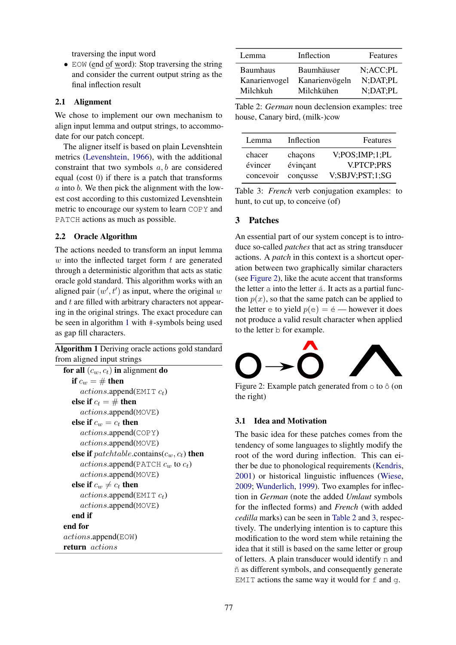traversing the input word

• EOW (end of word): Stop traversing the string and consider the current output string as the final inflection result

# 2.1 Alignment

We chose to implement our own mechanism to align input lemma and output strings, to accommodate for our patch concept.

The aligner itself is based on plain Levenshtein metrics (Levenshtein, 1966), with the additional constraint that two symbols  $a, b$  are considered equal (cost 0) if there is a patch that transforms  $a$  into  $b$ . We then pick the alignment with the lowest cost according to this customized Levenshtein metric to encourage our system to learn COPY and PATCH actions as much as possible.

# 2.2 Oracle Algorithm

The actions needed to transform an input lemma  $w$  into the inflected target form  $t$  are generated through a deterministic algorithm that acts as static oracle gold standard. This algorithm works with an aligned pair  $(w', t')$  as input, where the original w and  $t$  are filled with arbitrary characters not appearing in the original strings. The exact procedure can be seen in algorithm 1 with #-symbols being used as gap fill characters.

Algorithm 1 Deriving oracle actions gold standard from aligned input strings

```
for all (c_w, c_t) in alignment do
  if c_w = \# then
     actions.append(\text{EMIT } c_t)else if c_t = # then
     actions.append(MOVE)
  else if c_w = c_t then
     actions.append(COPY)
     actions.append(MOVE)
  else if patchtable.contains(c_w, c_t) then
     actions.append(PATCH c_w to c_t)
     actions.append(MOVE)
  else if c_w \neq c_t then
     actions.append(\text{EMIT } c_t)actions.append(MOVE)
  end if
end for
actions.append(EOW)
return actions
```

| Lemma           | Inflection     | Features        |
|-----------------|----------------|-----------------|
| <b>Baumhaus</b> | Baumhäuser     | $N;$ ACC; PL    |
| Kanarienvogel   | Kanarienvögeln | $N$ ; DAT; PL   |
| Milchkuh        | Milchkühen     | $N:$ DAT $:$ PL |

Table 2: *German* noun declension examples: tree house, Canary bird, (milk-)cow

| Lemma             | Inflection          | Features                     |
|-------------------|---------------------|------------------------------|
| chacer<br>évincer | chaçons<br>évinçant | V:POS;IMP;1;PL<br>V.PTCP:PRS |
| concevoir         | concusse            | V;SBJV;PST;1;SG              |

Table 3: *French* verb conjugation examples: to hunt, to cut up, to conceive (of)

# 3 Patches

An essential part of our system concept is to introduce so-called *patches* that act as string transducer actions. A *patch* in this context is a shortcut operation between two graphically similar characters (see Figure 2), like the acute accent that transforms the letter  $\alpha$  into the letter  $\acute{\alpha}$ . It acts as a partial function  $p(x)$ , so that the same patch can be applied to the letter  $\in$  to yield  $p(\in) = \in$  — however it does not produce a valid result character when applied to the letter b for example.



Figure 2: Example patch generated from  $\circ$  to  $\circ$  (on the right)

# 3.1 Idea and Motivation

The basic idea for these patches comes from the tendency of some languages to slightly modify the root of the word during inflection. This can either be due to phonological requirements (Kendris, 2001) or historical linguistic influences (Wiese, 2009; Wunderlich, 1999). Two examples for inflection in *German* (note the added *Umlaut* symbols for the inflected forms) and *French* (with added *cedilla* marks) can be seen in Table 2 and 3, respectively. The underlying intention is to capture this modification to the word stem while retaining the idea that it still is based on the same letter or group of letters. A plain transducer would identify n and ˜n as different symbols, and consequently generate EMIT actions the same way it would for  $f$  and  $g$ .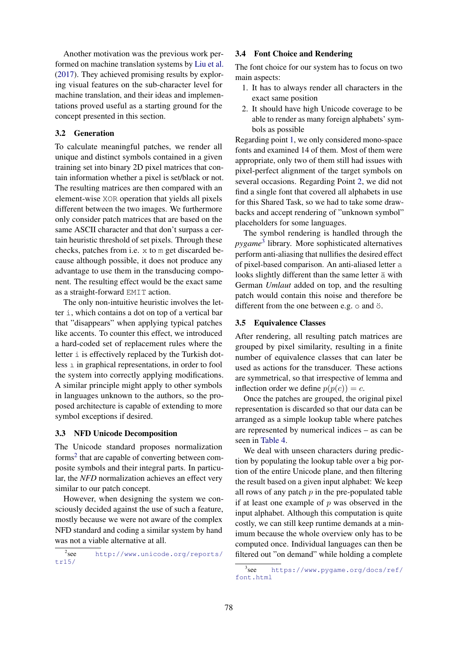Another motivation was the previous work performed on machine translation systems by Liu et al. (2017). They achieved promising results by exploring visual features on the sub-character level for machine translation, and their ideas and implementations proved useful as a starting ground for the concept presented in this section.

# 3.2 Generation

To calculate meaningful patches, we render all unique and distinct symbols contained in a given training set into binary 2D pixel matrices that contain information whether a pixel is set/black or not. The resulting matrices are then compared with an element-wise XOR operation that yields all pixels different between the two images. We furthermore only consider patch matrices that are based on the same ASCII character and that don't surpass a certain heuristic threshold of set pixels. Through these checks, patches from i.e. x to m get discarded because although possible, it does not produce any advantage to use them in the transducing component. The resulting effect would be the exact same as a straight-forward EMIT action.

The only non-intuitive heuristic involves the letter i, which contains a dot on top of a vertical bar that "disappears" when applying typical patches like accents. To counter this effect, we introduced a hard-coded set of replacement rules where the letter i is effectively replaced by the Turkish dotless  $\perp$  in graphical representations, in order to fool the system into correctly applying modifications. A similar principle might apply to other symbols in languages unknown to the authors, so the proposed architecture is capable of extending to more symbol exceptions if desired.

# 3.3 NFD Unicode Decomposition

The Unicode standard proposes normalization forms<sup>2</sup> that are capable of converting between composite symbols and their integral parts. In particular, the *NFD* normalization achieves an effect very similar to our patch concept.

However, when designing the system we consciously decided against the use of such a feature, mostly because we were not aware of the complex NFD standard and coding a similar system by hand was not a viable alternative at all.

 $2$ <sub>see</sub> http://www.unicode.org/reports/ tr15/

### 3.4 Font Choice and Rendering

The font choice for our system has to focus on two main aspects:

- 1. It has to always render all characters in the exact same position
- 2. It should have high Unicode coverage to be able to render as many foreign alphabets' symbols as possible

Regarding point 1, we only considered mono-space fonts and examined 14 of them. Most of them were appropriate, only two of them still had issues with pixel-perfect alignment of the target symbols on several occasions. Regarding Point 2, we did not find a single font that covered all alphabets in use for this Shared Task, so we had to take some drawbacks and accept rendering of "unknown symbol" placeholders for some languages.

The symbol rendering is handled through the *pygame*<sup>3</sup> library. More sophisticated alternatives perform anti-aliasing that nullifies the desired effect of pixel-based comparison. An anti-aliased letter a looks slightly different than the same letter  $\ddot{a}$  with German *Umlaut* added on top, and the resulting patch would contain this noise and therefore be different from the one between e.g.  $\circ$  and  $\ddot{\circ}$ .

# 3.5 Equivalence Classes

After rendering, all resulting patch matrices are grouped by pixel similarity, resulting in a finite number of equivalence classes that can later be used as actions for the transducer. These actions are symmetrical, so that irrespective of lemma and inflection order we define  $p(p(c)) = c$ .

Once the patches are grouped, the original pixel representation is discarded so that our data can be arranged as a simple lookup table where patches are represented by numerical indices – as can be seen in Table 4.

We deal with unseen characters during prediction by populating the lookup table over a big portion of the entire Unicode plane, and then filtering the result based on a given input alphabet: We keep all rows of any patch  $p$  in the pre-populated table if at least one example of  $p$  was observed in the input alphabet. Although this computation is quite costly, we can still keep runtime demands at a minimum because the whole overview only has to be computed once. Individual languages can then be filtered out "on demand" while holding a complete

 $3$ see https://www.pygame.org/docs/ref/ font.html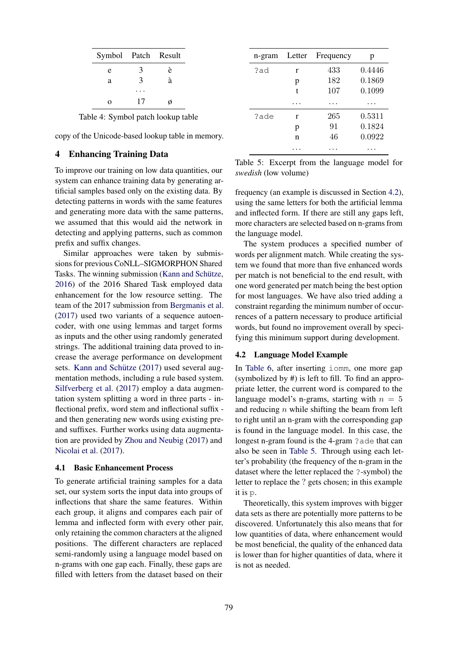| Symbol Patch Result |    |   |
|---------------------|----|---|
| e                   | 3  | è |
| a                   | 3  | à |
|                     |    |   |
| $\Omega$            | 17 |   |

Table 4: Symbol patch lookup table

copy of the Unicode-based lookup table in memory.

# 4 Enhancing Training Data

To improve our training on low data quantities, our system can enhance training data by generating artificial samples based only on the existing data. By detecting patterns in words with the same features and generating more data with the same patterns, we assumed that this would aid the network in detecting and applying patterns, such as common prefix and suffix changes.

Similar approaches were taken by submissions for previous CoNLL–SIGMORPHON Shared Tasks. The winning submission (Kann and Schütze, 2016) of the 2016 Shared Task employed data enhancement for the low resource setting. The team of the 2017 submission from Bergmanis et al. (2017) used two variants of a sequence autoencoder, with one using lemmas and target forms as inputs and the other using randomly generated strings. The additional training data proved to increase the average performance on development sets. Kann and Schütze  $(2017)$  used several augmentation methods, including a rule based system. Silfverberg et al. (2017) employ a data augmentation system splitting a word in three parts - inflectional prefix, word stem and inflectional suffix and then generating new words using existing preand suffixes. Further works using data augmentation are provided by Zhou and Neubig (2017) and Nicolai et al. (2017).

### 4.1 Basic Enhancement Process

To generate artificial training samples for a data set, our system sorts the input data into groups of inflections that share the same features. Within each group, it aligns and compares each pair of lemma and inflected form with every other pair, only retaining the common characters at the aligned positions. The different characters are replaced semi-randomly using a language model based on n-grams with one gap each. Finally, these gaps are filled with letters from the dataset based on their

| n-gram | Letter | Frequency | р      |
|--------|--------|-----------|--------|
| ?ad    | r      | 433       | 0.4446 |
|        | p      | 182       | 0.1869 |
|        | t      | 107       | 0.1099 |
|        |        |           |        |
| ?ade   | r      | 265       | 0.5311 |
|        | p      | 91        | 0.1824 |
|        | n      | 46        | 0.0922 |
|        |        |           |        |

Table 5: Excerpt from the language model for *swedish* (low volume)

frequency (an example is discussed in Section 4.2), using the same letters for both the artificial lemma and inflected form. If there are still any gaps left, more characters are selected based on n-grams from the language model.

The system produces a specified number of words per alignment match. While creating the system we found that more than five enhanced words per match is not beneficial to the end result, with one word generated per match being the best option for most languages. We have also tried adding a constraint regarding the minimum number of occurrences of a pattern necessary to produce artificial words, but found no improvement overall by specifying this minimum support during development.

#### 4.2 Language Model Example

In Table 6, after inserting iomm, one more gap (symbolized by #) is left to fill. To find an appropriate letter, the current word is compared to the language model's n-grams, starting with  $n = 5$ and reducing  $n$  while shifting the beam from left to right until an n-gram with the corresponding gap is found in the language model. In this case, the longest n-gram found is the 4-gram ?ade that can also be seen in Table 5. Through using each letter's probability (the frequency of the n-gram in the dataset where the letter replaced the ?-symbol) the letter to replace the ? gets chosen; in this example it is p.

Theoretically, this system improves with bigger data sets as there are potentially more patterns to be discovered. Unfortunately this also means that for low quantities of data, where enhancement would be most beneficial, the quality of the enhanced data is lower than for higher quantities of data, where it is not as needed.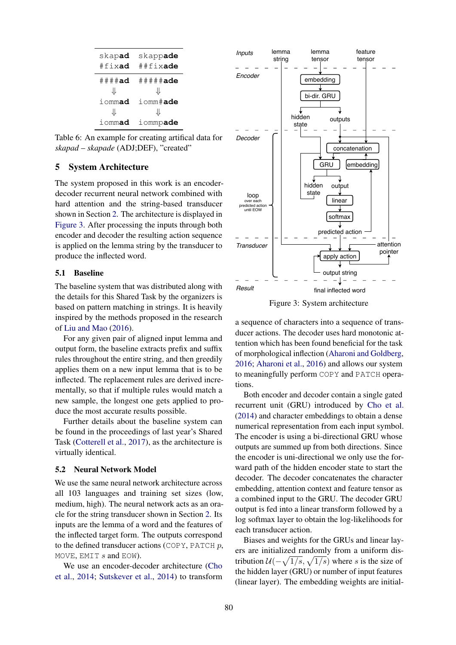| skapad            | skappade                |
|-------------------|-------------------------|
| #fixad            | ##fixade                |
| $\#$ $\#$ $\#$ ad | $\#$ $\#$ $\#$ $\#$ ade |
| ⇊                 | JL                      |
| iommad            | iomm#ade                |
| JL                | JL                      |
| iommad            | iommpade                |

Table 6: An example for creating artifical data for *skapad* – *skapade* (ADJ;DEF), "created"

# 5 System Architecture

The system proposed in this work is an encoderdecoder recurrent neural network combined with hard attention and the string-based transducer shown in Section 2. The architecture is displayed in Figure 3. After processing the inputs through both encoder and decoder the resulting action sequence is applied on the lemma string by the transducer to produce the inflected word.

# 5.1 Baseline

The baseline system that was distributed along with the details for this Shared Task by the organizers is based on pattern matching in strings. It is heavily inspired by the methods proposed in the research of Liu and Mao (2016).

For any given pair of aligned input lemma and output form, the baseline extracts prefix and suffix rules throughout the entire string, and then greedily applies them on a new input lemma that is to be inflected. The replacement rules are derived incrementally, so that if multiple rules would match a new sample, the longest one gets applied to produce the most accurate results possible.

Further details about the baseline system can be found in the proceedings of last year's Shared Task (Cotterell et al., 2017), as the architecture is virtually identical.

#### 5.2 Neural Network Model

We use the same neural network architecture across all 103 languages and training set sizes (low, medium, high). The neural network acts as an oracle for the string transducer shown in Section 2. Its inputs are the lemma of a word and the features of the inflected target form. The outputs correspond to the defined transducer actions (COPY, PATCH  $p$ , MOVE, EMIT  $s$  and EOW).

We use an encoder-decoder architecture (Cho et al., 2014; Sutskever et al., 2014) to transform



Figure 3: System architecture

a sequence of characters into a sequence of transducer actions. The decoder uses hard monotonic attention which has been found beneficial for the task of morphological inflection (Aharoni and Goldberg, 2016; Aharoni et al., 2016) and allows our system to meaningfully perform COPY and PATCH operations.

Both encoder and decoder contain a single gated recurrent unit (GRU) introduced by Cho et al. (2014) and character embeddings to obtain a dense numerical representation from each input symbol. The encoder is using a bi-directional GRU whose outputs are summed up from both directions. Since the encoder is uni-directional we only use the forward path of the hidden encoder state to start the decoder. The decoder concatenates the character embedding, attention context and feature tensor as a combined input to the GRU. The decoder GRU output is fed into a linear transform followed by a log softmax layer to obtain the log-likelihoods for each transducer action.

Biases and weights for the GRUs and linear layers are initialized randomly from a uniform distribution  $\mathcal{U}(-\sqrt{1/s}, \sqrt{1/s})$  where s is the size of the hidden layer (GRU) or number of input features (linear layer). The embedding weights are initial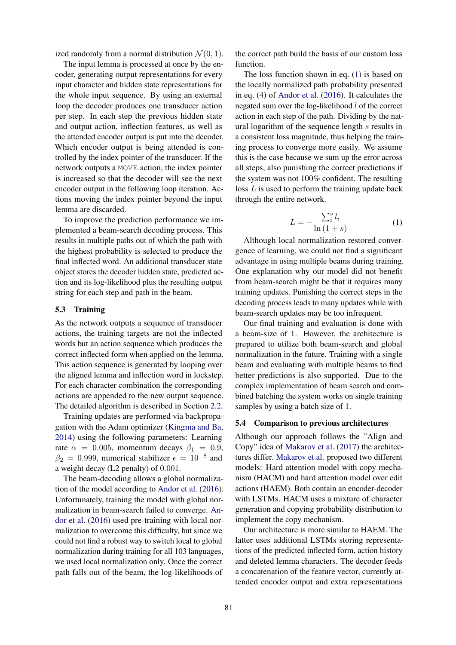ized randomly from a normal distribution  $\mathcal{N}(0, 1)$ .

The input lemma is processed at once by the encoder, generating output representations for every input character and hidden state representations for the whole input sequence. By using an external loop the decoder produces one transducer action per step. In each step the previous hidden state and output action, inflection features, as well as the attended encoder output is put into the decoder. Which encoder output is being attended is controlled by the index pointer of the transducer. If the network outputs a MOVE action, the index pointer is increased so that the decoder will see the next encoder output in the following loop iteration. Actions moving the index pointer beyond the input lemma are discarded.

To improve the prediction performance we implemented a beam-search decoding process. This results in multiple paths out of which the path with the highest probability is selected to produce the final inflected word. An additional transducer state object stores the decoder hidden state, predicted action and its log-likelihood plus the resulting output string for each step and path in the beam.

#### 5.3 Training

As the network outputs a sequence of transducer actions, the training targets are not the inflected words but an action sequence which produces the correct inflected form when applied on the lemma. This action sequence is generated by looping over the aligned lemma and inflection word in lockstep. For each character combination the corresponding actions are appended to the new output sequence. The detailed algorithm is described in Section 2.2.

Training updates are performed via backpropagation with the Adam optimizer (Kingma and Ba, 2014) using the following parameters: Learning rate  $\alpha = 0.005$ , momentum decays  $\beta_1 = 0.9$ ,  $\beta_2 = 0.999$ , numerical stabilizer  $\epsilon = 10^{-8}$  and a weight decay (L2 penalty) of 0.001.

The beam-decoding allows a global normalization of the model according to Andor et al. (2016). Unfortunately, training the model with global normalization in beam-search failed to converge. Andor et al. (2016) used pre-training with local normalization to overcome this difficulty, but since we could not find a robust way to switch local to global normalization during training for all 103 languages, we used local normalization only. Once the correct path falls out of the beam, the log-likelihoods of the correct path build the basis of our custom loss function.

The loss function shown in eq. (1) is based on the locally normalized path probability presented in eq. (4) of Andor et al. (2016). It calculates the negated sum over the log-likelihood l of the correct action in each step of the path. Dividing by the natural logarithm of the sequence length s results in a consistent loss magnitude, thus helping the training process to converge more easily. We assume this is the case because we sum up the error across all steps, also punishing the correct predictions if the system was not 100% confident. The resulting  $\cos L$  is used to perform the training update back through the entire network.

$$
L = -\frac{\sum_{i}^{s} l_i}{\ln\left(1+s\right)}\tag{1}
$$

Although local normalization restored convergence of learning, we could not find a significant advantage in using multiple beams during training. One explanation why our model did not benefit from beam-search might be that it requires many training updates. Punishing the correct steps in the decoding process leads to many updates while with beam-search updates may be too infrequent.

Our final training and evaluation is done with a beam-size of 1. However, the architecture is prepared to utilize both beam-search and global normalization in the future. Training with a single beam and evaluating with multiple beams to find better predictions is also supported. Due to the complex implementation of beam search and combined batching the system works on single training samples by using a batch size of 1.

### 5.4 Comparison to previous architectures

Although our approach follows the "Align and Copy" idea of Makarov et al. (2017) the architectures differ. Makarov et al. proposed two different models: Hard attention model with copy mechanism (HACM) and hard attention model over edit actions (HAEM). Both contain an encoder-decoder with LSTMs. HACM uses a mixture of character generation and copying probability distribution to implement the copy mechanism.

Our architecture is more similar to HAEM. The latter uses additional LSTMs storing representations of the predicted inflected form, action history and deleted lemma characters. The decoder feeds a concatenation of the feature vector, currently attended encoder output and extra representations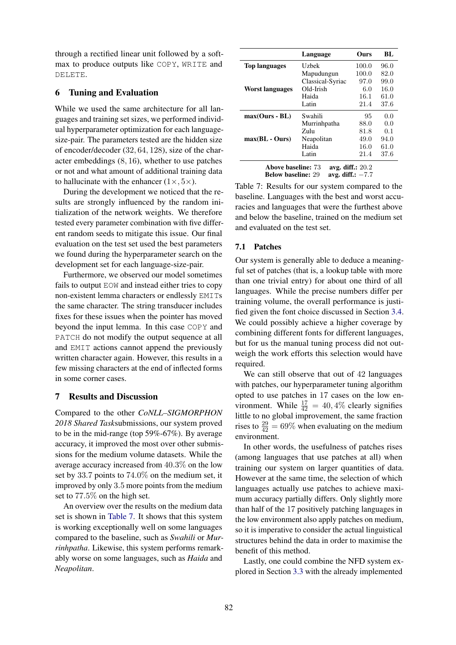through a rectified linear unit followed by a softmax to produce outputs like COPY, WRITE and DELETE.

# 6 Tuning and Evaluation

While we used the same architecture for all languages and training set sizes, we performed individual hyperparameter optimization for each languagesize-pair. The parameters tested are the hidden size of encoder/decoder (32, 64, 128), size of the character embeddings (8, 16), whether to use patches or not and what amount of additional training data to hallucinate with the enhancer  $(1 \times, 5 \times)$ .

During the development we noticed that the results are strongly influenced by the random initialization of the network weights. We therefore tested every parameter combination with five different random seeds to mitigate this issue. Our final evaluation on the test set used the best parameters we found during the hyperparameter search on the development set for each language-size-pair.

Furthermore, we observed our model sometimes fails to output EOW and instead either tries to copy non-existent lemma characters or endlessly EMITs the same character. The string transducer includes fixes for these issues when the pointer has moved beyond the input lemma. In this case COPY and PATCH do not modify the output sequence at all and EMIT actions cannot append the previously written character again. However, this results in a few missing characters at the end of inflected forms in some corner cases.

# 7 Results and Discussion

Compared to the other *CoNLL–SIGMORPHON 2018 Shared Task*submissions, our system proved to be in the mid-range (top 59%-67%). By average accuracy, it improved the most over other submissions for the medium volume datasets. While the average accuracy increased from 40.3% on the low set by 33.7 points to 74.0% on the medium set, it improved by only 3.5 more points from the medium set to 77.5% on the high set.

An overview over the results on the medium data set is shown in Table 7. It shows that this system is working exceptionally well on some languages compared to the baseline, such as *Swahili* or *Murrinhpatha*. Likewise, this system performs remarkably worse on some languages, such as *Haida* and *Neapolitan*.

|                                       | Language         | Ours  | BL   |
|---------------------------------------|------------------|-------|------|
| <b>Top languages</b>                  | Uzbek            | 100.0 | 96.0 |
|                                       | Mapudungun       | 100.0 | 82.0 |
|                                       | Classical-Syriac | 97.0  | 99.0 |
| Worst languages                       | Old-Irish        | 6.0   | 16.0 |
|                                       | Haida            | 16.1  | 61.0 |
|                                       | Latin            | 21.4  | 37.6 |
| $max(Ours - BL)$                      | Swahili          | 95    | 0.0  |
|                                       | Murrinhpatha     | 88.0  | 0.0  |
|                                       | Zulu             | 81.8  | 0.1  |
| $max(BL - Ours)$                      | Neapolitan       | 49.0  | 94.0 |
|                                       | Haida            | 16.0  | 61.0 |
|                                       | Latin            | 21.4  | 37.6 |
| .<br>1. CC<br>$\sim$<br>$\sim$ $\sim$ |                  |       |      |

Above baseline:  $73$  avg. diff.:  $20.2$ <br>Below baseline:  $29$  avg. diff.:  $-7.7$ Below baseline: 29

Table 7: Results for our system compared to the baseline. Languages with the best and worst accuracies and languages that were the furthest above and below the baseline, trained on the medium set and evaluated on the test set.

# 7.1 Patches

Our system is generally able to deduce a meaningful set of patches (that is, a lookup table with more than one trivial entry) for about one third of all languages. While the precise numbers differ per training volume, the overall performance is justified given the font choice discussed in Section 3.4. We could possibly achieve a higher coverage by combining different fonts for different languages, but for us the manual tuning process did not outweigh the work efforts this selection would have required.

We can still observe that out of 42 languages with patches, our hyperparameter tuning algorithm opted to use patches in 17 cases on the low environment. While  $\frac{17}{42} = 40,4\%$  clearly signifies little to no global improvement, the same fraction rises to  $\frac{29}{42} = 69\%$  when evaluating on the medium environment.

In other words, the usefulness of patches rises (among languages that use patches at all) when training our system on larger quantities of data. However at the same time, the selection of which languages actually use patches to achieve maximum accuracy partially differs. Only slightly more than half of the 17 positively patching languages in the low environment also apply patches on medium, so it is imperative to consider the actual linguistical structures behind the data in order to maximise the benefit of this method.

Lastly, one could combine the NFD system explored in Section 3.3 with the already implemented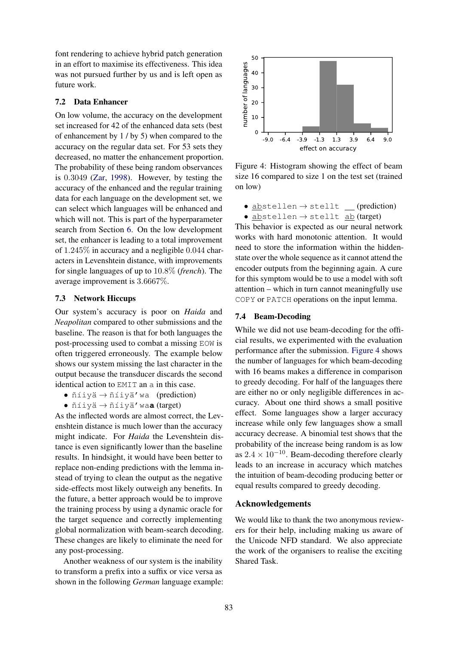font rendering to achieve hybrid patch generation in an effort to maximise its effectiveness. This idea was not pursued further by us and is left open as future work.

# 7.2 Data Enhancer

On low volume, the accuracy on the development set increased for 42 of the enhanced data sets (best of enhancement by 1 / by 5) when compared to the accuracy on the regular data set. For 53 sets they decreased, no matter the enhancement proportion. The probability of these being random observances is 0.3049 (Zar, 1998). However, by testing the accuracy of the enhanced and the regular training data for each language on the development set, we can select which languages will be enhanced and which will not. This is part of the hyperparameter search from Section 6. On the low development set, the enhancer is leading to a total improvement of 1.245% in accuracy and a negligible 0.044 characters in Levenshtein distance, with improvements for single languages of up to 10.8% (*french*). The average improvement is 3.6667%.

# 7.3 Network Hiccups

Our system's accuracy is poor on *Haida* and *Neapolitan* compared to other submissions and the baseline. The reason is that for both languages the post-processing used to combat a missing EOW is often triggered erroneously. The example below shows our system missing the last character in the output because the transducer discards the second identical action to EMIT an a in this case.

- $ñ$ íiyä  $\rightarrow$   $ñ$ íiyä'wa (prediction)
- $\bullet$  ñíiyä  $\rightarrow$  ñíiyä' wa**a** (target)

As the inflected words are almost correct, the Levenshtein distance is much lower than the accuracy might indicate. For *Haida* the Levenshtein distance is even significantly lower than the baseline results. In hindsight, it would have been better to replace non-ending predictions with the lemma instead of trying to clean the output as the negative side-effects most likely outweigh any benefits. In the future, a better approach would be to improve the training process by using a dynamic oracle for the target sequence and correctly implementing global normalization with beam-search decoding. These changes are likely to eliminate the need for any post-processing.

Another weakness of our system is the inability to transform a prefix into a suffix or vice versa as shown in the following *German* language example:



Figure 4: Histogram showing the effect of beam size 16 compared to size 1 on the test set (trained on low)

 $\bullet$  abstellen  $\rightarrow$  stellt (prediction)  $\bullet$  abstellen  $\rightarrow$  stellt ab (target)

This behavior is expected as our neural network works with hard monotonic attention. It would need to store the information within the hiddenstate over the whole sequence as it cannot attend the encoder outputs from the beginning again. A cure for this symptom would be to use a model with soft attention – which in turn cannot meaningfully use COPY or PATCH operations on the input lemma.

# 7.4 Beam-Decoding

While we did not use beam-decoding for the official results, we experimented with the evaluation performance after the submission. Figure 4 shows the number of languages for which beam-decoding with 16 beams makes a difference in comparison to greedy decoding. For half of the languages there are either no or only negligible differences in accuracy. About one third shows a small positive effect. Some languages show a larger accuracy increase while only few languages show a small accuracy decrease. A binomial test shows that the probability of the increase being random is as low as  $2.4 \times 10^{-10}$ . Beam-decoding therefore clearly leads to an increase in accuracy which matches the intuition of beam-decoding producing better or equal results compared to greedy decoding.

# Acknowledgements

We would like to thank the two anonymous reviewers for their help, including making us aware of the Unicode NFD standard. We also appreciate the work of the organisers to realise the exciting Shared Task.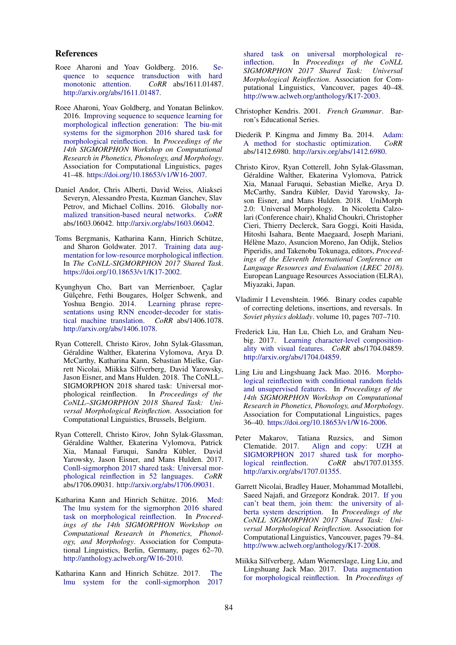### References

- Roee Aharoni and Yoav Goldberg. 2016. Sequence to sequence transduction with hard monotonic attention. *CoRR* abs/1611.01487. http://arxiv.org/abs/1611.01487.
- Roee Aharoni, Yoav Goldberg, and Yonatan Belinkov. 2016. Improving sequence to sequence learning for morphological inflection generation: The biu-mit systems for the sigmorphon 2016 shared task for morphological reinflection. In *Proceedings of the 14th SIGMORPHON Workshop on Computational Research in Phonetics, Phonology, and Morphology*. Association for Computational Linguistics, pages 41–48. https://doi.org/10.18653/v1/W16-2007.
- Daniel Andor, Chris Alberti, David Weiss, Aliaksei Severyn, Alessandro Presta, Kuzman Ganchev, Slav Petrov, and Michael Collins. 2016. Globally normalized transition-based neural networks. *CoRR* abs/1603.06042. http://arxiv.org/abs/1603.06042.
- Toms Bergmanis, Katharina Kann, Hinrich Schütze, and Sharon Goldwater. 2017. Training data augmentation for low-resource morphological inflection. In *The CoNLL-SIGMORPHON 2017 Shared Task*. https://doi.org/10.18653/v1/K17-2002.
- Kyunghyun Cho, Bart van Merrienboer, Çaglar Gülçehre, Fethi Bougares, Holger Schwenk, and Yoshua Bengio. 2014. Learning phrase representations using RNN encoder-decoder for statistical machine translation. *CoRR* abs/1406.1078. http://arxiv.org/abs/1406.1078.
- Ryan Cotterell, Christo Kirov, John Sylak-Glassman, Géraldine Walther, Ekaterina Vylomova, Arya D. McCarthy, Katharina Kann, Sebastian Mielke, Garrett Nicolai, Miikka Silfverberg, David Yarowsky, Jason Eisner, and Mans Hulden. 2018. The CoNLL– SIGMORPHON 2018 shared task: Universal morphological reinflection. In *Proceedings of the CoNLL–SIGMORPHON 2018 Shared Task: Universal Morphological Reinflection*. Association for Computational Linguistics, Brussels, Belgium.
- Ryan Cotterell, Christo Kirov, John Sylak-Glassman, Géraldine Walther, Ekaterina Vylomova, Patrick Xia, Manaal Faruqui, Sandra Kübler, David Yarowsky, Jason Eisner, and Mans Hulden. 2017. Conll-sigmorphon 2017 shared task: Universal morphological reinflection in 52 languages. *CoRR* abs/1706.09031. http://arxiv.org/abs/1706.09031.
- Katharina Kann and Hinrich Schütze. 2016. Med: The lmu system for the sigmorphon 2016 shared task on morphological reinflection. In *Proceedings of the 14th SIGMORPHON Workshop on Computational Research in Phonetics, Phonology, and Morphology*. Association for Computational Linguistics, Berlin, Germany, pages 62–70. http://anthology.aclweb.org/W16-2010.
- Katharina Kann and Hinrich Schütze. 2017. The lmu system for the conll-sigmorphon 2017

shared task on universal morphological reinflection. In *Proceedings of the CoNLL SIGMORPHON 2017 Shared Task: Universal Morphological Reinflection*. Association for Computational Linguistics, Vancouver, pages 40–48. http://www.aclweb.org/anthology/K17-2003.

- Christopher Kendris. 2001. *French Grammar*. Barron's Educational Series.
- Diederik P. Kingma and Jimmy Ba. 2014. Adam: A method for stochastic optimization. *CoRR* abs/1412.6980. http://arxiv.org/abs/1412.6980.
- Christo Kirov, Ryan Cotterell, John Sylak-Glassman, Géraldine Walther, Ekaterina Vylomova, Patrick Xia, Manaal Faruqui, Sebastian Mielke, Arya D. McCarthy, Sandra Kübler, David Yarowsky, Jason Eisner, and Mans Hulden. 2018. UniMorph 2.0: Universal Morphology. In Nicoletta Calzolari (Conference chair), Khalid Choukri, Christopher Cieri, Thierry Declerck, Sara Goggi, Koiti Hasida, Hitoshi Isahara, Bente Maegaard, Joseph Mariani, Hélène Mazo, Asuncion Moreno, Jan Odijk, Stelios Piperidis, and Takenobu Tokunaga, editors, *Proceedings of the Eleventh International Conference on Language Resources and Evaluation (LREC 2018)*. European Language Resources Association (ELRA), Miyazaki, Japan.
- Vladimir I Levenshtein. 1966. Binary codes capable of correcting deletions, insertions, and reversals. In *Soviet physics doklady*. volume 10, pages 707–710.
- Frederick Liu, Han Lu, Chieh Lo, and Graham Neubig. 2017. Learning character-level compositionality with visual features. *CoRR* abs/1704.04859. http://arxiv.org/abs/1704.04859.
- Ling Liu and Lingshuang Jack Mao. 2016. Morphological reinflection with conditional random fields and unsupervised features. In *Proceedings of the 14th SIGMORPHON Workshop on Computational Research in Phonetics, Phonology, and Morphology*. Association for Computational Linguistics, pages 36–40. https://doi.org/10.18653/v1/W16-2006.
- Peter Makarov, Tatiana Ruzsics, and Simon Clematide. 2017. Align and copy: UZH at SIGMORPHON 2017 shared task for morphological reinflection. *CoRR* abs/1707.01355. http://arxiv.org/abs/1707.01355.
- Garrett Nicolai, Bradley Hauer, Mohammad Motallebi, Saeed Najafi, and Grzegorz Kondrak. 2017. If you can't beat them, join them: the university of alberta system description. In *Proceedings of the CoNLL SIGMORPHON 2017 Shared Task: Universal Morphological Reinflection*. Association for Computational Linguistics, Vancouver, pages 79–84. http://www.aclweb.org/anthology/K17-2008.
- Miikka Silfverberg, Adam Wiemerslage, Ling Liu, and Lingshuang Jack Mao. 2017. Data augmentation for morphological reinflection. In *Proceedings of*